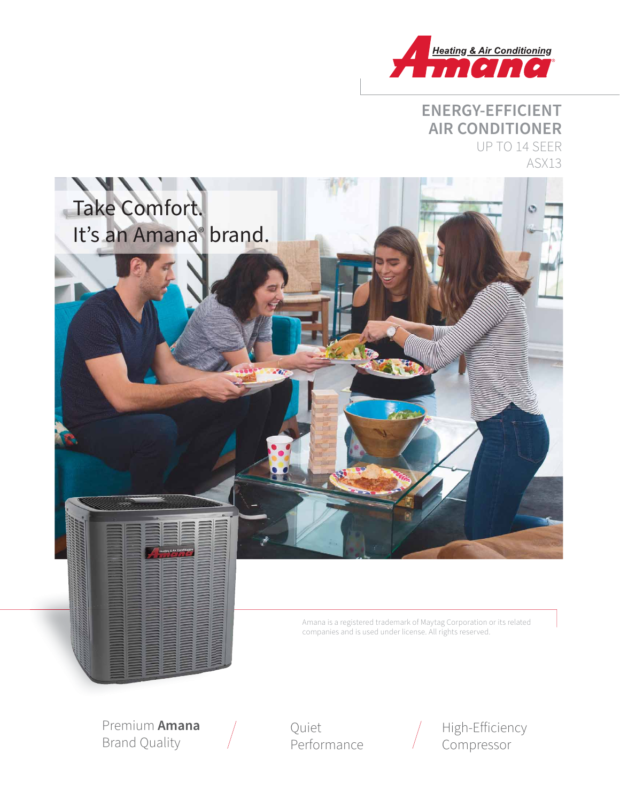

#### **ENERGY-EFFICIENT AIR CONDITIONER** UP TO 14 SEER ASX13



Amana is a registered trademark of Maytag Corporation or its related companies and is used under license. All rights reserved.

Premium **Amana**  Brand Quality

Quiet Performance



High-Efficiency Compressor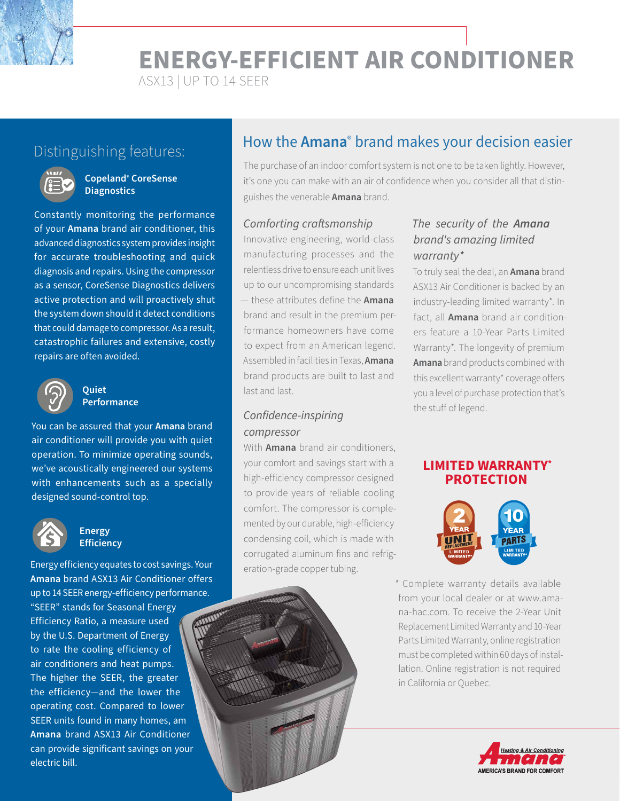**ENERGY-EFFICIENT AIR CONDITIONER**

ASX13 | UP TO 14 SEER



#### **Copeland® CoreSense Diagnostics**

Constantly monitoring the performance of your **Amana** brand air conditioner, this advanced diagnostics system provides insight for accurate troubleshooting and quick diagnosis and repairs. Using the compressor as a sensor, CoreSense Diagnostics delivers active protection and will proactively shut the system down should it detect conditions that could damage to compressor. As a result, catastrophic failures and extensive, costly repairs are often avoided.



#### **Quiet Performance**

You can be assured that your **Amana** brand air conditioner will provide you with quiet operation. To minimize operating sounds, we've acoustically engineered our systems with enhancements such as a specially designed sound-control top.



#### **Energy Efficiency**

Energy efficiency equates to cost savings. Your **Amana** brand ASX13 Air Conditioner offers up to 14 SEER energy-efficiency performance.

"SEER" stands for Seasonal Energy Efficiency Ratio, a measure used by the U.S. Department of Energy to rate the cooling efficiency of air conditioners and heat pumps. The higher the SEER, the greater the efficiency—and the lower the operating cost. Compared to lower SEER units found in many homes, am **Amana** brand ASX13 Air Conditioner can provide significant savings on your electric bill.

## How the **Amana®** brand makes your decision easier Distinguishing features:

The purchase of an indoor comfort system is not one to be taken lightly. However, it's one you can make with an air of confidence when you consider all that distinguishes the venerable **Amana** brand.

#### Comforting craftsmanship

Innovative engineering, world-class manufacturing processes and the relentless drive to ensure each unit lives up to our uncompromising standards — these attributes define the **Amana** brand and result in the premium performance homeowners have come to expect from an American legend. Assembled in facilities in Texas, **Amana** brand products are built to last and last and last.

#### Confidence-inspiring compressor

With **Amana** brand air conditioners, your comfort and savings start with a high-efficiency compressor designed to provide years of reliable cooling comfort. The compressor is complemented by our durable, high-efficiency condensing coil, which is made with corrugated aluminum fins and refrigeration-grade copper tubing.

#### The security of the **Amana**  brand's amazing limited warranty\*

To truly seal the deal, an **Amana** brand ASX13 Air Conditioner is backed by an industry-leading limited warranty\*. In fact, all **Amana** brand air conditioners feature a 10-Year Parts Limited Warranty\*. The longevity of premium **Amana**brand products combined with this excellent warranty\* coverage offers you a level of purchase protection that's the stuff of legend.

#### **LIMITED WARRANTY\* PROTECTION**



\* Complete warranty details available from your local dealer or at www.amana-hac.com. To receive the 2-Year Unit Replacement Limited Warranty and 10-Year Parts Limited Warranty, online registration must be completed within 60 days of installation. Online registration is not required in California or Quebec.

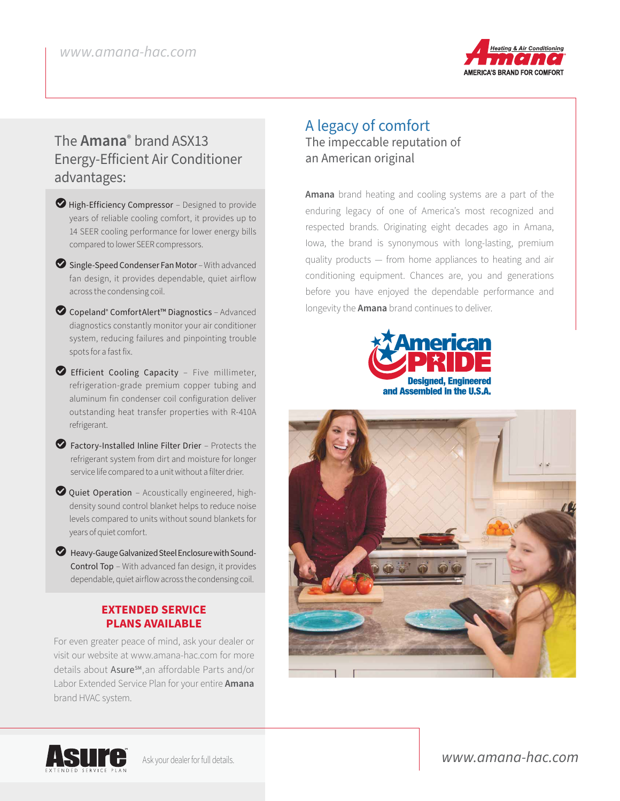

### The **Amana®** brand ASX13 Energy-Efficient Air Conditioner advantages:

- $\blacktriangleright$  High-Efficiency Compressor Designed to provide years of reliable cooling comfort, it provides up to 14 SEER cooling performance for lower energy bills compared to lower SEER compressors.
- $\bullet$  Single-Speed Condenser Fan Motor With advanced fan design, it provides dependable, quiet airflow across the condensing coil.
- LCopeland® ComfortAlert™ Diagnostics Advanced diagnostics constantly monitor your air conditioner system, reducing failures and pinpointing trouble spots for a fast fix.
- LEfficient Cooling Capacity Five millimeter, refrigeration-grade premium copper tubing and aluminum fin condenser coil configuration deliver outstanding heat transfer properties with R-410A refrigerant.
- $\bullet$  Factory-Installed Inline Filter Drier Protects the refrigerant system from dirt and moisture for longer service life compared to a unit without a filter drier.
- $\bullet$  Quiet Operation Acoustically engineered, highdensity sound control blanket helps to reduce noise levels compared to units without sound blankets for years of quiet comfort.
- $\blacktriangleright$  Heavy-Gauge Galvanized Steel Enclosure with Sound-Control Top – With advanced fan design, it provides dependable, quiet airflow across the condensing coil.

#### **EXTENDED SERVICE PLANS AVAILABLE**

For even greater peace of mind, ask your dealer or visit our website at www.amana-hac.com for more details about Asure<sup>sM</sup>, an affordable Parts and/or Labor Extended Service Plan for your entire **Amana**  brand HVAC system.

#### A legacy of comfort The impeccable reputation of an American original

**Amana** brand heating and cooling systems are a part of the enduring legacy of one of America's most recognized and respected brands. Originating eight decades ago in Amana, Iowa, the brand is synonymous with long-lasting, premium quality products — from home appliances to heating and air conditioning equipment. Chances are, you and generations before you have enjoyed the dependable performance and longevity the **Amana** brand continues to deliver.